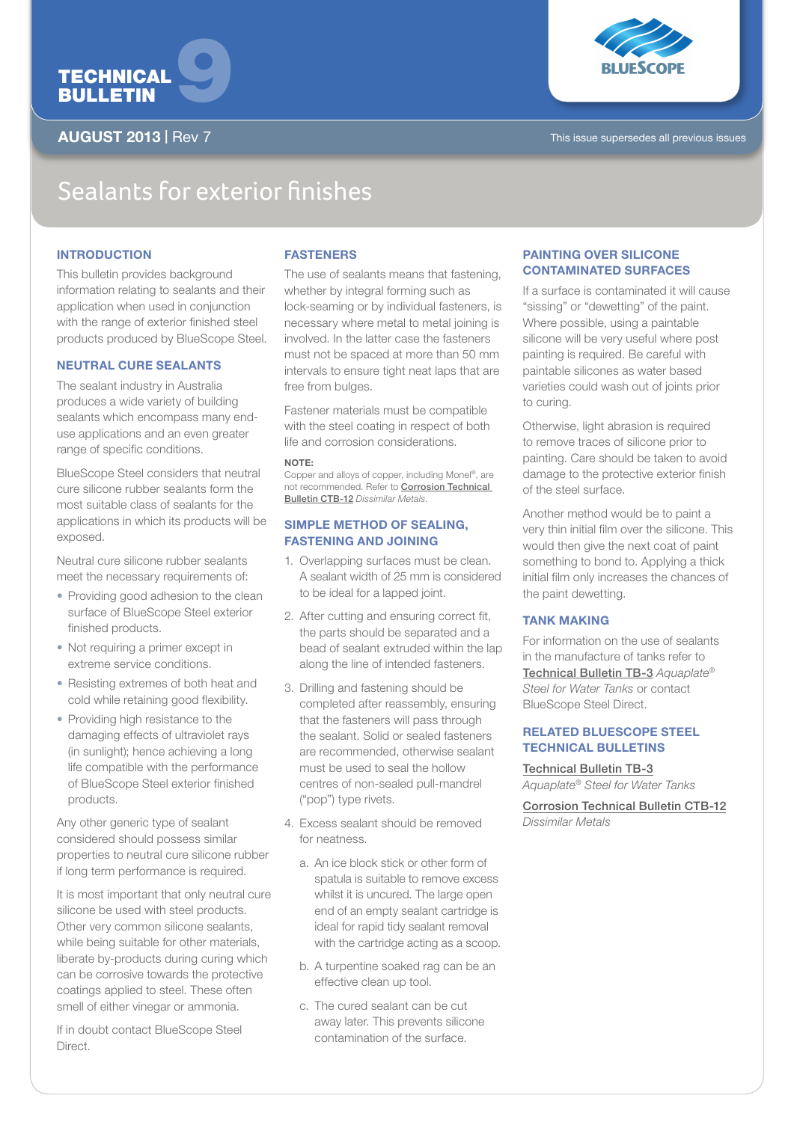



AUGUST 2013 | Rev 7 This issue supersedes all previous issues

# Sealants for exterior finishes

# **INTRODUCTION**

This bulletin provides background information relating to sealants and their application when used in conjunction with the range of exterior finished steel products produced by BlueScope Steel.

#### NEUTRAL CURE SEALANTS

The sealant industry in Australia produces a wide variety of building sealants which encompass many enduse applications and an even greater range of specific conditions.

BlueScope Steel considers that neutral cure silicone rubber sealants form the most suitable class of sealants for the applications in which its products will be exposed.

Neutral cure silicone rubber sealants meet the necessary requirements of:

- Providing good adhesion to the clean surface of BlueScope Steel exterior finished products.
- Not requiring a primer except in extreme service conditions.
- Resisting extremes of both heat and cold while retaining good flexibility.
- Providing high resistance to the damaging effects of ultraviolet rays (in sunlight); hence achieving a long life compatible with the performance of BlueScope Steel exterior finished products.

Any other generic type of sealant considered should possess similar properties to neutral cure silicone rubber if long term performance is required.

It is most important that only neutral cure silicone be used with steel products. Other very common silicone sealants, while being suitable for other materials, liberate by-products during curing which can be corrosive towards the protective coatings applied to steel. These often smell of either vinegar or ammonia.

If in doubt contact BlueScope Steel **Direct** 

# **FASTENERS**

The use of sealants means that fastening, whether by integral forming such as lock-seaming or by individual fasteners, is necessary where metal to metal joining is involved. In the latter case the fasteners must not be spaced at more than 50 mm intervals to ensure tight neat laps that are free from bulges.

Fastener materials must be compatible with the steel coating in respect of both life and corrosion considerations.

# $N$ OTE :

Copper and alloys of copper, including Monel®, are not recommended. Refer to Corrosion Technical Bulletin CTB-12 *Dissimilar Metals*.

### SIMPLE METHOD OF SEALING, FASTENING AND JOINING

- 1. Overlapping surfaces must be clean. A sealant width of 25 mm is considered to be ideal for a lapped joint.
- 2. After cutting and ensuring correct fit, the parts should be separated and a bead of sealant extruded within the lap along the line of intended fasteners.
- 3. Drilling and fastening should be completed after reassembly, ensuring that the fasteners will pass through the sealant. Solid or sealed fasteners are recommended, otherwise sealant must be used to seal the hollow centres of non-sealed pull-mandrel ("pop") type rivets.
- 4. Excess sealant should be removed for neatness.
	- a. An ice block stick or other form of spatula is suitable to remove excess whilst it is uncured. The large open end of an empty sealant cartridge is ideal for rapid tidy sealant removal with the cartridge acting as a scoop.
	- b. A turpentine soaked rag can be an effective clean up tool.
	- c. The cured sealant can be cut away later. This prevents silicone contamination of the surface.

# PAINTING OVER SILICONE CONTAMINATED SURFACES

If a surface is contaminated it will cause "sissing" or "dewetting" of the paint. Where possible, using a paintable silicone will be very useful where post painting is required. Be careful with paintable silicones as water based varieties could wash out of joints prior to curing.

Otherwise, light abrasion is required to remove traces of silicone prior to painting. Care should be taken to avoid damage to the protective exterior finish of the steel surface.

Another method would be to paint a very thin initial film over the silicone. This would then give the next coat of paint something to bond to. Applying a thick initial film only increases the chances of the paint dewetting.

# TANK MAKING

For information on the use of sealants in the manufacture of tanks refer to Technical Bulletin TB-3 *Aquaplate® Steel for Water Tanks* or contact BlueScope Steel Direct.

# RELATED BLUESCOPE STEEL TECHNICAL BULLETINS

Technical Bulletin TB-3 *Aquaplate® Steel for Water Tanks*

Corrosion Technical Bulletin CTB-12 *Dissimilar Metals*